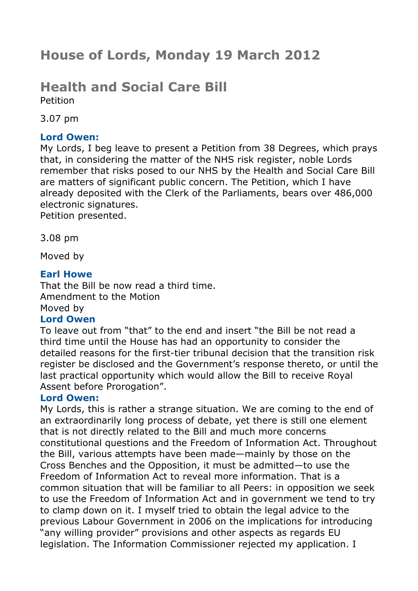# **House of Lords, Monday 19 March 2012**

## **Health and Social Care Bill** Petition

3.07 pm

## **Lord Owen:**

My Lords, I beg leave to present a Petition from 38 Degrees, which prays that, in considering the matter of the NHS risk register, noble Lords remember that risks posed to our NHS by the Health and Social Care Bill are matters of significant public concern. The Petition, which I have already deposited with the Clerk of the Parliaments, bears over 486,000 electronic signatures.

Petition presented.

3.08 pm

Moved by

### **Earl Howe**

That the Bill be now read a third time. Amendment to the Motion Moved by

## **Lord Owen**

To leave out from "that" to the end and insert "the Bill be not read a third time until the House has had an opportunity to consider the detailed reasons for the first-tier tribunal decision that the transition risk register be disclosed and the Government's response thereto, or until the last practical opportunity which would allow the Bill to receive Royal Assent before Prorogation".

## **Lord Owen:**

My Lords, this is rather a strange situation. We are coming to the end of an extraordinarily long process of debate, yet there is still one element that is not directly related to the Bill and much more concerns constitutional questions and the Freedom of Information Act. Throughout the Bill, various attempts have been made—mainly by those on the Cross Benches and the Opposition, it must be admitted—to use the Freedom of Information Act to reveal more information. That is a common situation that will be familiar to all Peers: in opposition we seek to use the Freedom of Information Act and in government we tend to try to clamp down on it. I myself tried to obtain the legal advice to the previous Labour Government in 2006 on the implications for introducing "any willing provider" provisions and other aspects as regards EU legislation. The Information Commissioner rejected my application. I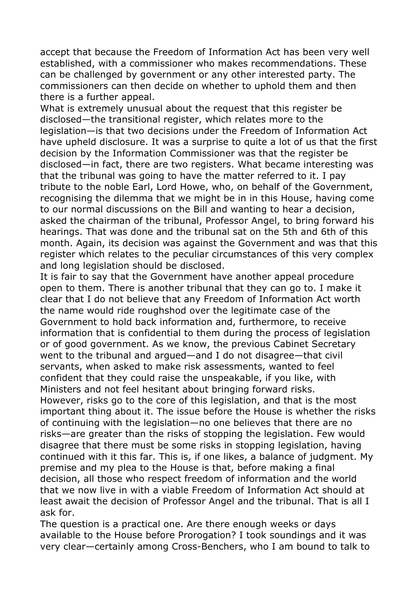accept that because the Freedom of Information Act has been very well established, with a commissioner who makes recommendations. These can be challenged by government or any other interested party. The commissioners can then decide on whether to uphold them and then there is a further appeal.

What is extremely unusual about the request that this register be disclosed—the transitional register, which relates more to the legislation—is that two decisions under the Freedom of Information Act have upheld disclosure. It was a surprise to quite a lot of us that the first decision by the Information Commissioner was that the register be disclosed—in fact, there are two registers. What became interesting was that the tribunal was going to have the matter referred to it. I pay tribute to the noble Earl, Lord Howe, who, on behalf of the Government, recognising the dilemma that we might be in in this House, having come to our normal discussions on the Bill and wanting to hear a decision, asked the chairman of the tribunal, Professor Angel, to bring forward his hearings. That was done and the tribunal sat on the 5th and 6th of this month. Again, its decision was against the Government and was that this register which relates to the peculiar circumstances of this very complex and long legislation should be disclosed.

It is fair to say that the Government have another appeal procedure open to them. There is another tribunal that they can go to. I make it clear that I do not believe that any Freedom of Information Act worth the name would ride roughshod over the legitimate case of the Government to hold back information and, furthermore, to receive information that is confidential to them during the process of legislation or of good government. As we know, the previous Cabinet Secretary went to the tribunal and argued—and I do not disagree—that civil servants, when asked to make risk assessments, wanted to feel confident that they could raise the unspeakable, if you like, with Ministers and not feel hesitant about bringing forward risks. However, risks go to the core of this legislation, and that is the most important thing about it. The issue before the House is whether the risks of continuing with the legislation—no one believes that there are no risks—are greater than the risks of stopping the legislation. Few would disagree that there must be some risks in stopping legislation, having continued with it this far. This is, if one likes, a balance of judgment. My premise and my plea to the House is that, before making a final decision, all those who respect freedom of information and the world that we now live in with a viable Freedom of Information Act should at least await the decision of Professor Angel and the tribunal. That is all I ask for.

The question is a practical one. Are there enough weeks or days available to the House before Prorogation? I took soundings and it was very clear—certainly among Cross-Benchers, who I am bound to talk to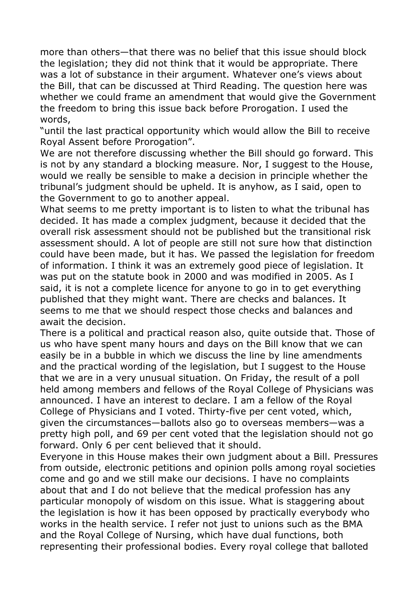more than others—that there was no belief that this issue should block the legislation; they did not think that it would be appropriate. There was a lot of substance in their argument. Whatever one's views about the Bill, that can be discussed at Third Reading. The question here was whether we could frame an amendment that would give the Government the freedom to bring this issue back before Prorogation. I used the words,

"until the last practical opportunity which would allow the Bill to receive Royal Assent before Prorogation".

We are not therefore discussing whether the Bill should go forward. This is not by any standard a blocking measure. Nor, I suggest to the House, would we really be sensible to make a decision in principle whether the tribunal's judgment should be upheld. It is anyhow, as I said, open to the Government to go to another appeal.

What seems to me pretty important is to listen to what the tribunal has decided. It has made a complex judgment, because it decided that the overall risk assessment should not be published but the transitional risk assessment should. A lot of people are still not sure how that distinction could have been made, but it has. We passed the legislation for freedom of information. I think it was an extremely good piece of legislation. It was put on the statute book in 2000 and was modified in 2005. As I said, it is not a complete licence for anyone to go in to get everything published that they might want. There are checks and balances. It seems to me that we should respect those checks and balances and await the decision.

There is a political and practical reason also, quite outside that. Those of us who have spent many hours and days on the Bill know that we can easily be in a bubble in which we discuss the line by line amendments and the practical wording of the legislation, but I suggest to the House that we are in a very unusual situation. On Friday, the result of a poll held among members and fellows of the Royal College of Physicians was announced. I have an interest to declare. I am a fellow of the Royal College of Physicians and I voted. Thirty-five per cent voted, which, given the circumstances—ballots also go to overseas members—was a pretty high poll, and 69 per cent voted that the legislation should not go forward. Only 6 per cent believed that it should.

Everyone in this House makes their own judgment about a Bill. Pressures from outside, electronic petitions and opinion polls among royal societies come and go and we still make our decisions. I have no complaints about that and I do not believe that the medical profession has any particular monopoly of wisdom on this issue. What is staggering about the legislation is how it has been opposed by practically everybody who works in the health service. I refer not just to unions such as the BMA and the Royal College of Nursing, which have dual functions, both representing their professional bodies. Every royal college that balloted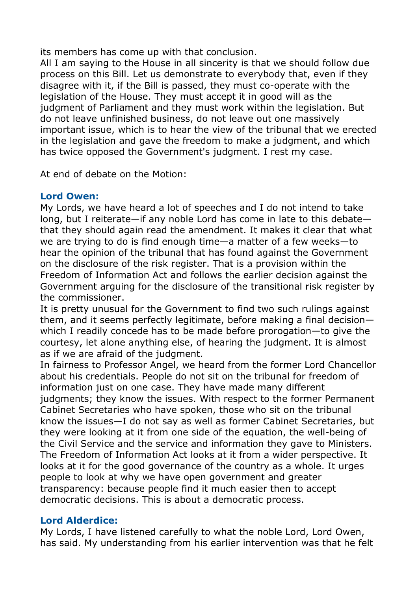its members has come up with that conclusion.

All I am saying to the House in all sincerity is that we should follow due process on this Bill. Let us demonstrate to everybody that, even if they disagree with it, if the Bill is passed, they must co-operate with the legislation of the House. They must accept it in good will as the judgment of Parliament and they must work within the legislation. But do not leave unfinished business, do not leave out one massively important issue, which is to hear the view of the tribunal that we erected in the legislation and gave the freedom to make a judgment, and which has twice opposed the Government's judgment. I rest my case.

At end of debate on the Motion:

## **Lord Owen:**

My Lords, we have heard a lot of speeches and I do not intend to take long, but I reiterate—if any noble Lord has come in late to this debate that they should again read the amendment. It makes it clear that what we are trying to do is find enough time—a matter of a few weeks—to hear the opinion of the tribunal that has found against the Government on the disclosure of the risk register. That is a provision within the Freedom of Information Act and follows the earlier decision against the Government arguing for the disclosure of the transitional risk register by the commissioner.

It is pretty unusual for the Government to find two such rulings against them, and it seems perfectly legitimate, before making a final decision which I readily concede has to be made before prorogation—to give the courtesy, let alone anything else, of hearing the judgment. It is almost as if we are afraid of the judgment.

In fairness to Professor Angel, we heard from the former Lord Chancellor about his credentials. People do not sit on the tribunal for freedom of information just on one case. They have made many different judgments; they know the issues. With respect to the former Permanent Cabinet Secretaries who have spoken, those who sit on the tribunal know the issues—I do not say as well as former Cabinet Secretaries, but they were looking at it from one side of the equation, the well-being of the Civil Service and the service and information they gave to Ministers. The Freedom of Information Act looks at it from a wider perspective. It looks at it for the good governance of the country as a whole. It urges people to look at why we have open government and greater transparency: because people find it much easier then to accept democratic decisions. This is about a democratic process.

## **Lord Alderdice:**

My Lords, I have listened carefully to what the noble Lord, Lord Owen, has said. My understanding from his earlier intervention was that he felt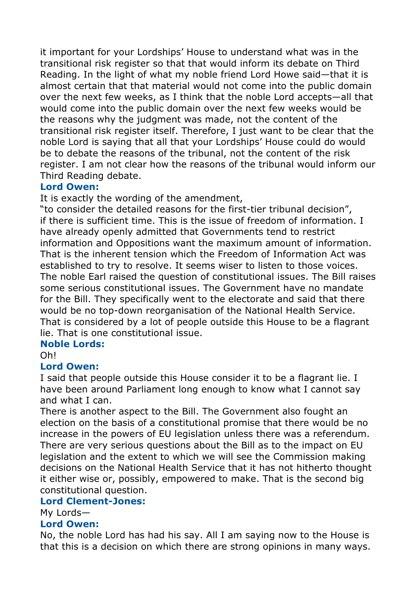it important for your Lordships' House to understand what was in the transitional risk register so that that would inform its debate on Third Reading. In the light of what my noble friend Lord Howe said—that it is almost certain that that material would not come into the public domain over the next few weeks, as I think that the noble Lord accepts—all that would come into the public domain over the next few weeks would be the reasons why the judgment was made, not the content of the transitional risk register itself. Therefore, I just want to be clear that the noble Lord is saying that all that your Lordships' House could do would be to debate the reasons of the tribunal, not the content of the risk register. I am not clear how the reasons of the tribunal would inform our Third Reading debate.

## **Lord Owen:**

It is exactly the wording of the amendment,

"to consider the detailed reasons for the first-tier tribunal decision", if there is sufficient time. This is the issue of freedom of information. I have already openly admitted that Governments tend to restrict information and Oppositions want the maximum amount of information. That is the inherent tension which the Freedom of Information Act was established to try to resolve. It seems wiser to listen to those voices. The noble Earl raised the question of constitutional issues. The Bill raises some serious constitutional issues. The Government have no mandate for the Bill. They specifically went to the electorate and said that there would be no top-down reorganisation of the National Health Service. That is considered by a lot of people outside this House to be a flagrant lie. That is one constitutional issue.

## **Noble Lords:**

Oh!

## **Lord Owen:**

I said that people outside this House consider it to be a flagrant lie. I have been around Parliament long enough to know what I cannot say and what I can.

There is another aspect to the Bill. The Government also fought an election on the basis of a constitutional promise that there would be no increase in the powers of EU legislation unless there was a referendum. There are very serious questions about the Bill as to the impact on EU legislation and the extent to which we will see the Commission making decisions on the National Health Service that it has not hitherto thought it either wise or, possibly, empowered to make. That is the second big constitutional question.

## **Lord Clement-Jones:**

My Lords—

#### **Lord Owen:**

No, the noble Lord has had his say. All I am saying now to the House is that this is a decision on which there are strong opinions in many ways.